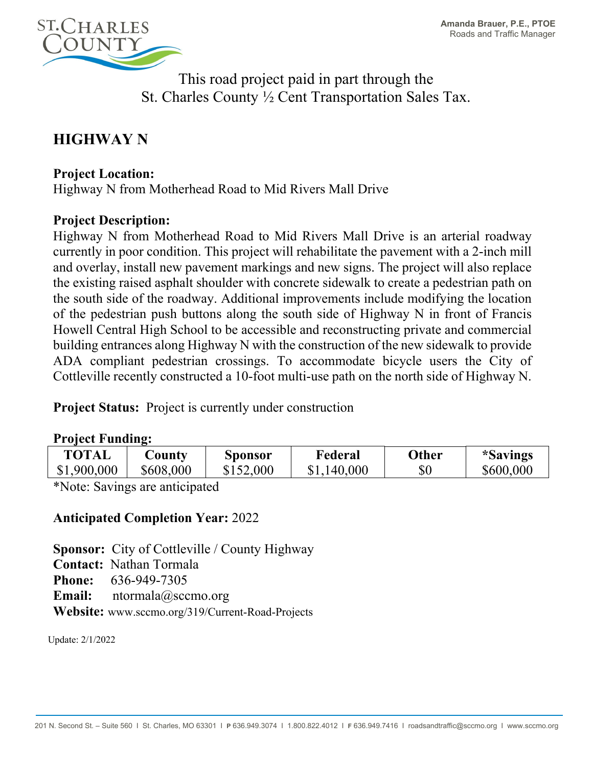

This road project paid in part through the St. Charles County ½ Cent Transportation Sales Tax.

# **HIGHWAY N**

### **Project Location:**

Highway N from Motherhead Road to Mid Rivers Mall Drive

#### **Project Description:**

Highway N from Motherhead Road to Mid Rivers Mall Drive is an arterial roadway currently in poor condition. This project will rehabilitate the pavement with a 2-inch mill and overlay, install new pavement markings and new signs. The project will also replace the existing raised asphalt shoulder with concrete sidewalk to create a pedestrian path on the south side of the roadway. Additional improvements include modifying the location of the pedestrian push buttons along the south side of Highway N in front of Francis Howell Central High School to be accessible and reconstructing private and commercial building entrances along Highway N with the construction of the new sidewalk to provide ADA compliant pedestrian crossings. To accommodate bicycle users the City of Cottleville recently constructed a 10-foot multi-use path on the north side of Highway N.

**Project Status:** Project is currently under construction

#### **Project Funding:**

| <b>TOTAL</b> | $\cup$ ounty | <b>Sponsor</b> | Federal     | Other | <i>*Savings</i> |
|--------------|--------------|----------------|-------------|-------|-----------------|
| \$1,900,000  | \$608,000    | \$152,000      | \$1,140,000 | $\$0$ | \$600,000       |

\*Note: Savings are anticipated

## **Anticipated Completion Year:** 2022

**Sponsor:** City of Cottleville / County Highway **Contact:** Nathan Tormala **Phone:** 636-949-7305 **Email:** ntormala@sccmo.org **Website:** www.sccmo.org/319/Current-Road-Projects

Update: 2/1/2022